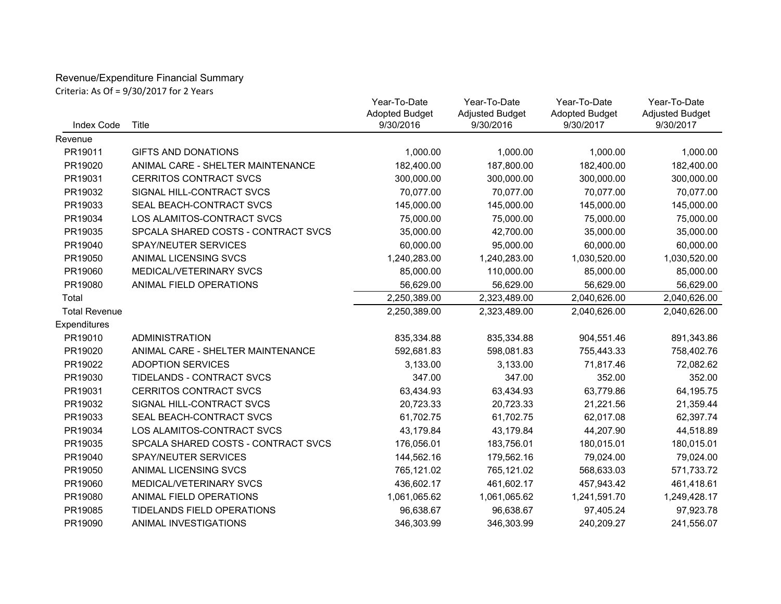## Revenue/Expenditure Financial Summary Criteria: As Of = 9/30/2017 for 2 Years

| <b>Index Code</b>    | Title                               | Year-To-Date<br><b>Adopted Budget</b><br>9/30/2016 | Year-To-Date<br><b>Adjusted Budget</b><br>9/30/2016 | Year-To-Date<br><b>Adopted Budget</b><br>9/30/2017 | Year-To-Date<br><b>Adjusted Budget</b><br>9/30/2017 |
|----------------------|-------------------------------------|----------------------------------------------------|-----------------------------------------------------|----------------------------------------------------|-----------------------------------------------------|
| Revenue              |                                     |                                                    |                                                     |                                                    |                                                     |
| PR19011              | <b>GIFTS AND DONATIONS</b>          | 1,000.00                                           | 1,000.00                                            | 1,000.00                                           | 1,000.00                                            |
| PR19020              | ANIMAL CARE - SHELTER MAINTENANCE   | 182,400.00                                         | 187,800.00                                          | 182,400.00                                         | 182,400.00                                          |
| PR19031              | <b>CERRITOS CONTRACT SVCS</b>       | 300,000.00                                         | 300,000.00                                          | 300,000.00                                         | 300,000.00                                          |
| PR19032              | SIGNAL HILL-CONTRACT SVCS           | 70,077.00                                          | 70,077.00                                           | 70,077.00                                          | 70,077.00                                           |
| PR19033              | SEAL BEACH-CONTRACT SVCS            | 145,000.00                                         | 145,000.00                                          | 145,000.00                                         | 145,000.00                                          |
| PR19034              | LOS ALAMITOS-CONTRACT SVCS          | 75,000.00                                          | 75,000.00                                           | 75,000.00                                          | 75,000.00                                           |
| PR19035              | SPCALA SHARED COSTS - CONTRACT SVCS | 35,000.00                                          | 42,700.00                                           | 35,000.00                                          | 35,000.00                                           |
| PR19040              | SPAY/NEUTER SERVICES                | 60,000.00                                          | 95,000.00                                           | 60,000.00                                          | 60,000.00                                           |
| PR19050              | ANIMAL LICENSING SVCS               | 1,240,283.00                                       | 1,240,283.00                                        | 1,030,520.00                                       | 1,030,520.00                                        |
| PR19060              | MEDICAL/VETERINARY SVCS             | 85,000.00                                          | 110,000.00                                          | 85,000.00                                          | 85,000.00                                           |
| PR19080              | ANIMAL FIELD OPERATIONS             | 56,629.00                                          | 56,629.00                                           | 56,629.00                                          | 56,629.00                                           |
| Total                |                                     | 2,250,389.00                                       | 2,323,489.00                                        | 2,040,626.00                                       | 2,040,626.00                                        |
| <b>Total Revenue</b> |                                     | 2,250,389.00                                       | 2,323,489.00                                        | 2,040,626.00                                       | 2,040,626.00                                        |
| Expenditures         |                                     |                                                    |                                                     |                                                    |                                                     |
| PR19010              | <b>ADMINISTRATION</b>               | 835,334.88                                         | 835,334.88                                          | 904,551.46                                         | 891,343.86                                          |
| PR19020              | ANIMAL CARE - SHELTER MAINTENANCE   | 592,681.83                                         | 598,081.83                                          | 755,443.33                                         | 758,402.76                                          |
| PR19022              | <b>ADOPTION SERVICES</b>            | 3,133.00                                           | 3,133.00                                            | 71,817.46                                          | 72,082.62                                           |
| PR19030              | TIDELANDS - CONTRACT SVCS           | 347.00                                             | 347.00                                              | 352.00                                             | 352.00                                              |
| PR19031              | <b>CERRITOS CONTRACT SVCS</b>       | 63,434.93                                          | 63,434.93                                           | 63,779.86                                          | 64,195.75                                           |
| PR19032              | SIGNAL HILL-CONTRACT SVCS           | 20,723.33                                          | 20,723.33                                           | 21,221.56                                          | 21,359.44                                           |
| PR19033              | SEAL BEACH-CONTRACT SVCS            | 61,702.75                                          | 61,702.75                                           | 62,017.08                                          | 62,397.74                                           |
| PR19034              | LOS ALAMITOS-CONTRACT SVCS          | 43,179.84                                          | 43,179.84                                           | 44,207.90                                          | 44,518.89                                           |
| PR19035              | SPCALA SHARED COSTS - CONTRACT SVCS | 176,056.01                                         | 183,756.01                                          | 180,015.01                                         | 180,015.01                                          |
| PR19040              | SPAY/NEUTER SERVICES                | 144,562.16                                         | 179,562.16                                          | 79,024.00                                          | 79,024.00                                           |
| PR19050              | ANIMAL LICENSING SVCS               | 765,121.02                                         | 765,121.02                                          | 568,633.03                                         | 571,733.72                                          |
| PR19060              | MEDICAL/VETERINARY SVCS             | 436,602.17                                         | 461,602.17                                          | 457,943.42                                         | 461,418.61                                          |
| PR19080              | ANIMAL FIELD OPERATIONS             | 1,061,065.62                                       | 1,061,065.62                                        | 1,241,591.70                                       | 1,249,428.17                                        |
| PR19085              | TIDELANDS FIELD OPERATIONS          | 96,638.67                                          | 96,638.67                                           | 97,405.24                                          | 97,923.78                                           |
| PR19090              | ANIMAL INVESTIGATIONS               | 346,303.99                                         | 346,303.99                                          | 240,209.27                                         | 241,556.07                                          |